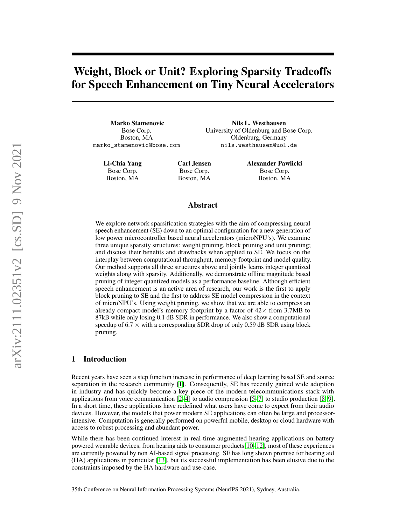# Weight, Block or Unit? Exploring Sparsity Tradeoffs for Speech Enhancement on Tiny Neural Accelerators

Marko Stamenovic Bose Corp. Boston, MA marko\_stamenovic@bose.com

> Li-Chia Yang Bose Corp. Boston, MA

Carl Jensen Bose Corp. Boston, MA Alexander Pawlicki Bose Corp. Boston, MA

Nils L. Westhausen University of Oldenburg and Bose Corp. Oldenburg, Germany nils.westhausen@uol.de

# Abstract

We explore network sparsification strategies with the aim of compressing neural speech enhancement (SE) down to an optimal configuration for a new generation of low power microcontroller based neural accelerators (microNPU's). We examine three unique sparsity structures: weight pruning, block pruning and unit pruning; and discuss their benefits and drawbacks when applied to SE. We focus on the interplay between computational throughput, memory footprint and model quality. Our method supports all three structures above and jointly learns integer quantized weights along with sparsity. Additionally, we demonstrate offline magnitude based pruning of integer quantized models as a performance baseline. Although efficient speech enhancement is an active area of research, our work is the first to apply block pruning to SE and the first to address SE model compression in the context of microNPU's. Using weight pruning, we show that we are able to compress an already compact model's memory footprint by a factor of  $42\times$  from 3.7MB to 87kB while only losing 0.1 dB SDR in performance. We also show a computational speedup of  $6.7 \times$  with a corresponding SDR drop of only 0.59 dB SDR using block pruning.

# 1 Introduction

Recent years have seen a step function increase in performance of deep learning based SE and source separation in the research community [\[1\]](#page-6-0). Consequently, SE has recently gained wide adoption in industry and has quickly become a key piece of the modern telecommunications stack with applications from voice communication [\[2–](#page-6-1)[4\]](#page-6-2) to audio compression [\[5–](#page-6-3)[7\]](#page-6-4) to studio production [\[8,](#page-6-5) [9\]](#page-6-6). In a short time, these applications have redefined what users have come to expect from their audio devices. However, the models that power modern SE applications can often be large and processorintensive. Computation is generally performed on powerful mobile, desktop or cloud hardware with access to robust processing and abundant power.

While there has been continued interest in real-time augmented hearing applications on battery powered wearable devices, from hearing aids to consumer products[\[10–](#page-6-7)[12\]](#page-6-8), most of these experiences are currently powered by non AI-based signal processing. SE has long shown promise for hearing aid (HA) applications in particular [\[13\]](#page-7-0), but its successful implementation has been elusive due to the constraints imposed by the HA hardware and use-case.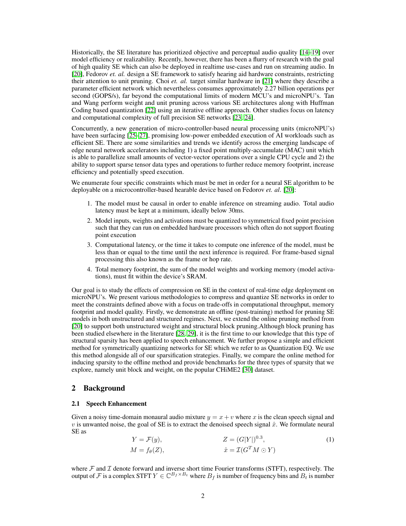Historically, the SE literature has prioritized objective and perceptual audio quality [\[14](#page-7-1)[–19\]](#page-7-2) over model efficiency or realizability. Recently, however, there has been a flurry of research with the goal of high quality SE which can also be deployed in realtime use-cases and run on streaming audio. In [\[20\]](#page-7-3), Fedorov *et. al.* design a SE framework to satisfy hearing aid hardware constraints, restricting their attention to unit pruning. Choi *et. al.* target similar hardware in [\[21\]](#page-7-4) where they describe a parameter efficient network which nevertheless consumes approximately 2.27 billion operations per second (GOPS/s), far beyond the computational limits of modern MCU's and microNPU's. Tan and Wang perform weight and unit pruning across various SE architectures along with Huffman Coding based quantization [\[22\]](#page-7-5) using an iterative offline approach. Other studies focus on latency and computational complexity of full precision SE networks [\[23,](#page-7-6) [24\]](#page-7-7).

Concurrently, a new generation of micro-controller-based neural processing units (microNPU's) have been surfacing  $[25-27]$  $[25-27]$ , promising low-power embedded execution of AI workloads such as efficient SE. There are some similarities and trends we identify across the emerging landscape of edge neural network accelerators including 1) a fixed point multiply-accumulate (MAC) unit which is able to parallelize small amounts of vector-vector operations over a single CPU cycle and 2) the ability to support sparse tensor data types and operations to further reduce memory footprint, increase efficiency and potentially speed execution.

We enumerate four specific constraints which must be met in order for a neural SE algorithm to be deployable on a microcontroller-based hearable device based on Fedorov *et. al*. [\[20\]](#page-7-3):

- 1. The model must be causal in order to enable inference on streaming audio. Total audio latency must be kept at a minimum, ideally below 30ms.
- 2. Model inputs, weights and activations must be quantized to symmetrical fixed point precision such that they can run on embedded hardware processors which often do not support floating point execution
- 3. Computational latency, or the time it takes to compute one inference of the model, must be less than or equal to the time until the next inference is required. For frame-based signal processing this also known as the frame or hop rate.
- 4. Total memory footprint, the sum of the model weights and working memory (model activations), must fit within the device's SRAM.

Our goal is to study the effects of compression on SE in the context of real-time edge deployment on microNPU's. We present various methodologies to compress and quantize SE networks in order to meet the constraints defined above with a focus on trade-offs in computational throughput, memory footprint and model quality. Firstly, we demonstrate an offline (post-training) method for pruning SE models in both unstructured and structured regimes. Next, we extend the online pruning method from [\[20\]](#page-7-3) to support both unstructured weight and structural block pruning.Although block pruning has been studied elsewhere in the literature [\[28,](#page-7-10) [29\]](#page-8-0), it is the first time to our knowledge that this type of structural sparsity has been applied to speech enhancement. We further propose a simple and efficient method for symmetrically quantizing networks for SE which we refer to as Quantization EQ. We use this method alongside all of our sparsification strategies. Finally, we compare the online method for inducing sparsity to the offline method and provide benchmarks for the three types of sparsity that we explore, namely unit block and weight, on the popular CHiME2 [\[30\]](#page-8-1) dataset.

# 2 Background

#### 2.1 Speech Enhancement

Given a noisy time-domain monaural audio mixture  $y = x + v$  where x is the clean speech signal and v is unwanted noise, the goal of SE is to extract the denoised speech signal  $\hat{x}$ . We formulate neural SE as

<span id="page-1-0"></span>
$$
Y = \mathcal{F}(y), \qquad Z = (G|Y|)^{0.3},
$$
  
\n
$$
M = f_{\theta}(Z), \qquad \hat{x} = \mathcal{I}(G^T M \odot Y)
$$
\n(1)

where  $\mathcal F$  and  $\mathcal I$  denote forward and inverse short time Fourier transforms (STFT), respectively. The output of F is a complex STFT  $Y \in \mathbb{C}^{B_f \times B_t}$  where  $B_f$  is number of frequency bins and  $B_t$  is number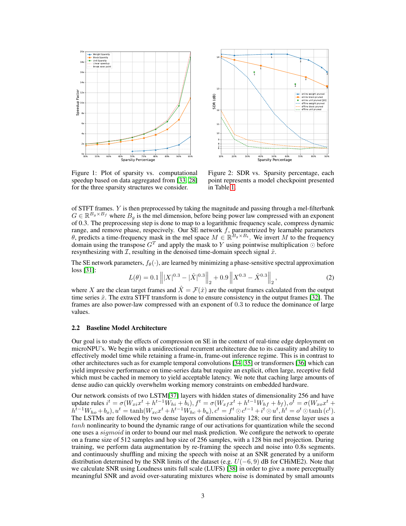

 $14 +$  $^{1+}$ 2 1  $\ddot{\hspace{0.1cm}}$ 3 2  $\frac{9}{2}$ 3  $13 +$  $\ddot{+}$ online weight pruned online block pruned online unit pruned [20] offline weight pruned offline block pruned offline unit pruned SDR (dB)  $12 +$ 11  $10 +$ 9 + 8+ 7 + 6 + 10% 20% 30% 40% 50% 60% 70% 80% 90% Sparsity Percentage

<span id="page-2-0"></span>Figure 1: Plot of sparsity vs. computational speedup based on data aggregated from [\[33,](#page-8-2) [28\]](#page-7-10) for the three sparsity structures we consider.

<span id="page-2-2"></span>Figure 2: SDR vs. Sparsity percentage, each point represents a model checkpoint presented in Table [1.](#page-5-0)

of STFT frames. Y is then preprocessed by taking the magnitude and passing through a mel-filterbank  $G \in \mathbb{R}^{B_g \times B_f}$  where  $B_g$  is the mel dimension, before being power law compressed with an exponent of 0.3. The preprocessing step is done to map to a logarithmic frequency scale, compress dynamic range, and remove phase, respecively. Our SE network  $f$ , parametrized by learnable parameters θ, predicts a time-frequency mask in the mel space  $M \in \mathbb{R}^{B_g \times B_t}$ . We invert M to the frequency domain using the transpose  $G<sup>T</sup>$  and apply the mask to Y using pointwise multiplication  $\odot$  before resynthesizing with  $\mathcal{I}$ , resulting in the denoised time-domain speech signal  $\hat{x}$ .

The SE network parameters,  $f_{\theta}(\cdot)$ , are learned by minimizing a phase-sensitive spectral approximation loss [\[31\]](#page-8-3):

<span id="page-2-1"></span>
$$
L(\theta) = 0.1 \left\| |X|^{0.3} - |\hat{X}|^{0.3} \right\|_2 + 0.9 \left\| X^{0.3} - \hat{X}^{0.3} \right\|_2, \tag{2}
$$

where X are the clean target frames and  $\hat{X} = \mathcal{F}(\hat{x})$  are the output frames calculated from the output time series  $\hat{x}$ . The extra STFT transform is done to ensure consistency in the output frames [\[32\]](#page-8-4). The frames are also power-law compressed with an exponent of 0.3 to reduce the dominance of large values.

# 2.2 Baseline Model Architecture

Our goal is to study the effects of compression on SE in the context of real-time edge deployment on microNPU's. We begin with a unidirectional recurrent architecture due to its causality and ability to effectively model time while retaining a frame-in, frame-out inference regime. This is in contrast to other architectures such as for example temporal convolutions [\[34,](#page-8-5) [35\]](#page-8-6) or transformers [\[36\]](#page-8-7) which can yield impressive performance on time-series data but require an explicit, often large, receptive field which must be cached in memory to yield acceptable latency. We note that caching large amounts of dense audio can quickly overwhelm working memory constraints on embedded hardware.

Our network consists of two LSTM[\[37\]](#page-8-8) layers with hidden states of dimensionality 256 and have update rules  $i^t = \sigma(W_{xi}x^t + h^{t-1}W_{hi} + b_i)$ ,  $f^t = \sigma(W_{xf}x^t + h^{t-1}W_{hf} + b_f)$ ,  $o^t = \sigma(W_{xo}x^t + b_i)$  $h^{t-1}W_{ho} + b_o$ ),  $u^t = \tanh(W_{xc}x^t + h^{t-1}W_{hc} + b_u)$ ,  $c^t = f^t \odot c^{t-1} + i^t \odot u^t$ ,  $h^t = o^t \odot \tanh(c^t)$ . The LSTMs are followed by two dense layers of dimensionality 128; our first dense layer uses a tanh nonlinearity to bound the dynamic range of our activations for quantization while the second one uses a sigmoid in order to bound our mel mask prediction. We configure the network to operate on a frame size of 512 samples and hop size of 256 samples, with a 128 bin mel projection. During training, we perform data augmentation by re-framing the speech and noise into 0.8s segments. and continuously shuffling and mixing the speech with noise at an SNR generated by a uniform distribution determined by the SNR limits of the dataset (e.g.  $U(-6, 9)$  dB for CHiME2). Note that we calculate SNR using Loudness units full scale (LUFS) [\[38\]](#page-8-9) in order to give a more perceptually meaningful SNR and avoid over-saturating mixtures where noise is dominated by small amounts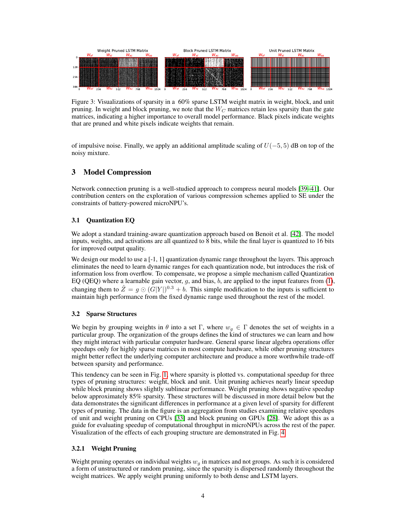

Figure 3: Visualizations of sparsity in a 60% sparse LSTM weight matrix in weight, block, and unit pruning. In weight and block pruning, we note that the  $W_C$  matrices retain less sparsity than the gate matrices, indicating a higher importance to overall model performance. Black pixels indicate weights that are pruned and white pixels indicate weights that remain.

of impulsive noise. Finally, we apply an additional amplitude scaling of  $U(-5, 5)$  dB on top of the noisy mixture.

# 3 Model Compression

Network connection pruning is a well-studied approach to compress neural models [\[39–](#page-8-10)[41\]](#page-8-11). Our contribution centers on the exploration of various compression schemes applied to SE under the constraints of battery-powered microNPU's.

# 3.1 Quantization EQ

We adopt a standard training-aware quantization approach based on Benoit et al. [\[42\]](#page-8-12). The model inputs, weights, and activations are all quantized to 8 bits, while the final layer is quantized to 16 bits for improved output quality.

We design our model to use a  $[-1, 1]$  quantization dynamic range throughout the layers. This approach eliminates the need to learn dynamic ranges for each quantization node, but introduces the risk of information loss from overflow. To compensate, we propose a simple mechanism called Quantization EQ (QEQ) where a learnable gain vector,  $g$ , and bias,  $b$ , are applied to the input features from [\(1\)](#page-1-0), changing them to  $\hat{Z} = g \odot (G|Y|)^{0.3} + b$ . This simple modification to the inputs is sufficient to maintain high performance from the fixed dynamic range used throughout the rest of the model.

# 3.2 Sparse Structures

We begin by grouping weights in  $\theta$  into a set Γ, where  $w_q \in \Gamma$  denotes the set of weights in a particular group. The organization of the groups defines the kind of structures we can learn and how they might interact with particular computer hardware. General sparse linear algebra operations offer speedups only for highly sparse matrices in most compute hardware, while other pruning structures might better reflect the underlying computer architecture and produce a more worthwhile trade-off between sparsity and performance.

This tendency can be seen in Fig. [1,](#page-2-0) where sparsity is plotted vs. computational speedup for three types of pruning structures: weight, block and unit. Unit pruning achieves nearly linear speedup while block pruning shows slightly sublinear performance. Weight pruning shows negative speedup below approximately 85% sparsity. These structures will be discussed in more detail below but the data demonstrates the significant differences in performance at a given level of sparsity for different types of pruning. The data in the figure is an aggregation from studies examining relative speedups of unit and weight pruning on CPUs [\[33\]](#page-8-2) and block pruning on GPUs [\[28\]](#page-7-10). We adopt this as a guide for evaluating speedup of computational throughput in microNPUs across the rest of the paper. Visualization of the effects of each grouping structure are demonstrated in Fig. [4.](#page-10-0)

# 3.2.1 Weight Pruning

Weight pruning operates on individual weights  $w<sub>q</sub>$  in matrices and not groups. As such it is considered a form of unstructured or random pruning, since the sparsity is dispersed randomly throughout the weight matrices. We apply weight pruning uniformly to both dense and LSTM layers.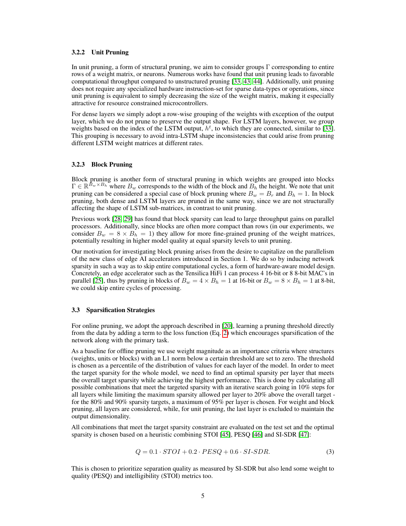#### 3.2.2 Unit Pruning

In unit pruning, a form of structural pruning, we aim to consider groups Γ corresponding to entire rows of a weight matrix, or neurons. Numerous works have found that unit pruning leads to favorable computational throughput compared to unstructured pruning [\[33,](#page-8-2) [43,](#page-8-13) [44\]](#page-9-0). Additionally, unit pruning does not require any specialized hardware instruction-set for sparse data-types or operations, since unit pruning is equivalent to simply decreasing the size of the weight matrix, making it especially attractive for resource constrained microcontrollers.

For dense layers we simply adopt a row-wise grouping of the weights with exception of the output layer, which we do not prune to preserve the output shape. For LSTM layers, however, we group weights based on the index of the LSTM output,  $h^t$ , to which they are connected, similar to [\[33\]](#page-8-2). This grouping is necessary to avoid intra-LSTM shape inconsistencies that could arise from pruning different LSTM weight matrices at different rates.

#### 3.2.3 Block Pruning

Block pruning is another form of structural pruning in which weights are grouped into blocks  $\Gamma \in \mathbb{R}^{\tilde{B}_w \times B_h}$  where  $B_w$  corresponds to the width of the block and  $B_h$  the height. We note that unit pruning can be considered a special case of block pruning where  $B_w = B_r$  and  $B_h = 1$ . In block pruning, both dense and LSTM layers are pruned in the same way, since we are not structurally affecting the shape of LSTM sub-matrices, in contrast to unit pruning.

Previous work [\[28,](#page-7-10) [29\]](#page-8-0) has found that block sparsity can lead to large throughput gains on parallel processors. Additionally, since blocks are often more compact than rows (in our experiments, we consider  $B_w = 8 \times B_h = 1$ ) they allow for more fine-grained pruning of the weight matrices, potentially resulting in higher model quality at equal sparsity levels to unit pruning.

Our motivation for investigating block pruning arises from the desire to capitalize on the parallelism of the new class of edge AI accelerators introduced in Section 1. We do so by inducing network sparsity in such a way as to skip entire computational cycles, a form of hardware-aware model design. Concretely, an edge accelerator such as the Tensilica HiFi 1 can process 4 16-bit or 8 8-bit MAC's in parallel [\[25\]](#page-7-8), thus by pruning in blocks of  $B_w = 4 \times B_h = 1$  at 16-bit or  $B_w = 8 \times B_h = 1$  at 8-bit, we could skip entire cycles of processing.

#### 3.3 Sparsification Strategies

For online pruning, we adopt the approach described in [\[20\]](#page-7-3), learning a pruning threshold directly from the data by adding a term to the loss function (Eq. [2\)](#page-2-1) which encourages sparsification of the network along with the primary task.

As a baseline for offline pruning we use weight magnitude as an importance criteria where structures (weights, units or blocks) with an L1 norm below a certain threshold are set to zero. The threshold is chosen as a percentile of the distribution of values for each layer of the model. In order to meet the target sparsity for the whole model, we need to find an optimal sparsity per layer that meets the overall target sparsity while achieving the highest performance. This is done by calculating all possible combinations that meet the targeted sparsity with an iterative search going in 10% steps for all layers while limiting the maximum sparsity allowed per layer to 20% above the overall target for the 80% and 90% sparsity targets, a maximum of 95% per layer is chosen. For weight and block pruning, all layers are considered, while, for unit pruning, the last layer is excluded to maintain the output dimensionality.

All combinations that meet the target sparsity constraint are evaluated on the test set and the optimal sparsity is chosen based on a heuristic combining STOI [\[45\]](#page-9-1), PESQ [\[46\]](#page-9-2) and SI-SDR [\[47\]](#page-9-3):

$$
Q = 0.1 \cdot STOI + 0.2 \cdot PESQ + 0.6 \cdot SI\text{-}SDR. \tag{3}
$$

This is chosen to prioritize separation quality as measured by SI-SDR but also lend some weight to quality (PESQ) and intelligibility (STOI) metrics too.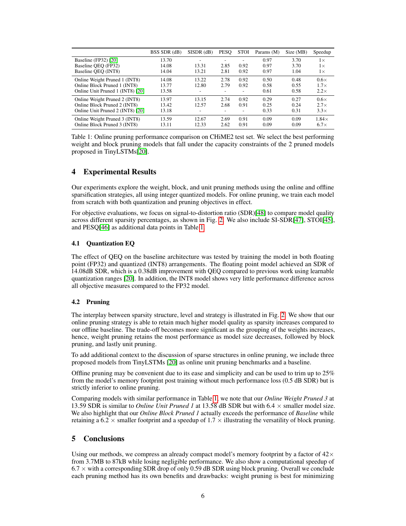|                                  | BSS SDR (dB) | $SISDR$ ( $dB$ ) | <b>PESO</b> | <b>STOI</b> | Params (M) | Size (MB) | Speedup      |
|----------------------------------|--------------|------------------|-------------|-------------|------------|-----------|--------------|
| Baseline (FP32) [20]             | 13.70        |                  |             |             | 0.97       | 3.70      | $1\times$    |
| Baseline OEO (FP32)              | 14.08        | 13.31            | 2.85        | 0.92        | 0.97       | 3.70      | $1\times$    |
| Baseline OEO (INT8)              | 14.04        | 13.21            | 2.81        | 0.92        | 0.97       | 1.04      | $1\times$    |
| Online Weight Pruned 1 (INT8)    | 14.08        | 13.22            | 2.78        | 0.92        | 0.50       | 0.48      | $0.6\times$  |
| Online Block Pruned 1 (INT8)     | 13.77        | 12.80            | 2.79        | 0.92        | 0.58       | 0.55      | $1.7\times$  |
| Online Unit Pruned 1 (INT8) [20] | 13.58        |                  |             |             | 0.61       | 0.58      | $2.2\times$  |
| Online Weight Pruned 2 (INT8)    | 13.97        | 13.15            | 2.74        | 0.92        | 0.29       | 0.27      | $0.6\times$  |
| Online Block Pruned 2 (INT8)     | 13.42        | 12.57            | 2.68        | 0.91        | 0.25       | 0.24      | $2.7\times$  |
| Online Unit Pruned 2 (INT8) [20] | 13.18        |                  | Ξ.          |             | 0.33       | 0.31      | $3.3\times$  |
| Online Weight Pruned 3 (INT8)    | 13.59        | 12.67            | 2.69        | 0.91        | 0.09       | 0.09      | $1.84\times$ |
| Online Block Pruned 3 (INT8)     | 13.11        | 12.33            | 2.62        | 0.91        | 0.09       | 0.09      | $6.7\times$  |

<span id="page-5-0"></span>Table 1: Online pruning performance comparison on CHiME2 test set. We select the best performing weight and block pruning models that fall under the capacity constraints of the 2 pruned models proposed in TinyLSTMs[\[20\]](#page-7-3).

# 4 Experimental Results

Our experiments explore the weight, block, and unit pruning methods using the online and offline sparsification strategies, all using integer quantized models. For online pruning, we train each model from scratch with both quantization and pruning objectives in effect.

For objective evaluations, we focus on signal-to-distortion ratio (SDR)[\[48\]](#page-9-4) to compare model quality across different sparsity percentages, as shown in Fig. [2.](#page-2-2) We also include SI-SDR[\[47\]](#page-9-3), STOI[\[45\]](#page-9-1), and PESQ[\[46\]](#page-9-2) as additional data points in Table [1.](#page-5-0)

# 4.1 Quantization EQ

The effect of QEQ on the baseline architecture was tested by training the model in both floating point (FP32) and quantized (INT8) arrangements. The floating point model achieved an SDR of 14.08dB SDR, which is a 0.38dB improvement with QEQ compared to previous work using learnable quantization ranges [\[20\]](#page-7-3). In addition, the INT8 model shows very little performance difference across all objective measures compared to the FP32 model.

# 4.2 Pruning

The interplay between sparsity structure, level and strategy is illustrated in Fig. [2.](#page-2-2) We show that our online pruning strategy is able to retain much higher model quality as sparsity increases compared to our offline baseline. The trade-off becomes more significant as the grouping of the weights increases, hence, weight pruning retains the most performance as model size decreases, followed by block pruning, and lastly unit pruning.

To add additional context to the discussion of sparse structures in online pruning, we include three proposed models from TinyLSTMs [\[20\]](#page-7-3) as online unit pruning benchmarks and a baseline.

Offline pruning may be convenient due to its ease and simplicity and can be used to trim up to 25% from the model's memory footprint post training without much performance loss (0.5 dB SDR) but is strictly inferior to online pruning.

Comparing models with similar performance in Table [1,](#page-5-0) we note that our *Online Weight Pruned 3* at 13.59 SDR is similar to *Online Unit Pruned 1* at 13.58 dB SDR but with 6.4 × smaller model size. We also highlight that our *Online Block Pruned 1* actually exceeds the performance of *Baseline* while retaining a 6.2  $\times$  smaller footprint and a speedup of 1.7  $\times$  illustrating the versatility of block pruning.

# 5 Conclusions

Using our methods, we compress an already compact model's memory footprint by a factor of  $42\times$ from 3.7MB to 87kB while losing negligible performance. We also show a computational speedup of  $6.7 \times$  with a corresponding SDR drop of only 0.59 dB SDR using block pruning. Overall we conclude each pruning method has its own benefits and drawbacks: weight pruning is best for minimizing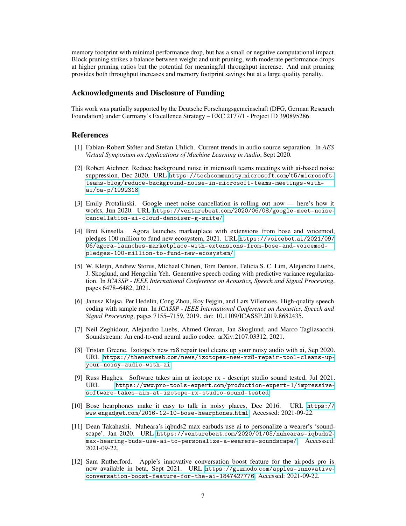memory footprint with minimal performance drop, but has a small or negative computational impact. Block pruning strikes a balance between weight and unit pruning, with moderate performance drops at higher pruning ratios but the potential for meaningful throughput increase. And unit pruning provides both throughput increases and memory footprint savings but at a large quality penalty.

# Acknowledgments and Disclosure of Funding

This work was partially supported by the Deutsche Forschungsgemeinschaft (DFG, German Research Foundation) under Germany's Excellence Strategy – EXC 2177/1 - Project ID 390895286.

# References

- <span id="page-6-0"></span>[1] Fabian-Robert Stöter and Stefan Uhlich. Current trends in audio source separation. In *AES Virtual Symposium on Applications of Machine Learning in Audio*, Sept 2020.
- <span id="page-6-1"></span>[2] Robert Aichner. Reduce background noise in microsoft teams meetings with ai-based noise suppression, Dec 2020. URL [https://techcommunity](https://techcommunity.microsoft.com/t5/microsoft-teams-blog/reduce-background-noise-in-microsoft-teams-meetings-with-ai/ba-p/1992318).microsoft.com/t5/microsoft[teams-blog/reduce-background-noise-in-microsoft-teams-meetings-with](https://techcommunity.microsoft.com/t5/microsoft-teams-blog/reduce-background-noise-in-microsoft-teams-meetings-with-ai/ba-p/1992318)[ai/ba-p/1992318](https://techcommunity.microsoft.com/t5/microsoft-teams-blog/reduce-background-noise-in-microsoft-teams-meetings-with-ai/ba-p/1992318).
- [3] Emily Protalinski. Google meet noise cancellation is rolling out now here's how it works, Jun 2020. URL https://venturebeat.[com/2020/06/08/google-meet-noise](https://venturebeat.com/2020/06/08/google-meet-noise-cancellation-ai-cloud-denoiser-g-suite/)[cancellation-ai-cloud-denoiser-g-suite/](https://venturebeat.com/2020/06/08/google-meet-noise-cancellation-ai-cloud-denoiser-g-suite/).
- <span id="page-6-2"></span>[4] Bret Kinsella. Agora launches marketplace with extensions from bose and voicemod, pledges 100 million to fund new ecosystem, 2021. URL [https://voicebot](https://voicebot.ai/2021/09/06/agora-launches-marketplace-with-extensions-from-bose-and-voicemod-pledges-100-million-to-fund-new-ecosystem/).ai/2021/09/ [06/agora-launches-marketplace-with-extensions-from-bose-and-voicemod](https://voicebot.ai/2021/09/06/agora-launches-marketplace-with-extensions-from-bose-and-voicemod-pledges-100-million-to-fund-new-ecosystem/)[pledges-100-million-to-fund-new-ecosystem/](https://voicebot.ai/2021/09/06/agora-launches-marketplace-with-extensions-from-bose-and-voicemod-pledges-100-million-to-fund-new-ecosystem/).
- <span id="page-6-3"></span>[5] W. Kleijn, Andrew Storus, Michael Chinen, Tom Denton, Felicia S. C. Lim, Alejandro Luebs, J. Skoglund, and Hengchin Yeh. Generative speech coding with predictive variance regularization. In *ICASSP - IEEE International Conference on Acoustics, Speech and Signal Processing*, pages 6478–6482, 2021.
- [6] Janusz Klejsa, Per Hedelin, Cong Zhou, Roy Fejgin, and Lars Villemoes. High-quality speech coding with sample rnn. In *ICASSP - IEEE International Conference on Acoustics, Speech and Signal Processing*, pages 7155–7159, 2019. doi: 10.1109/ICASSP.2019.8682435.
- <span id="page-6-4"></span>[7] Neil Zeghidour, Alejandro Luebs, Ahmed Omran, Jan Skoglund, and Marco Tagliasacchi. Soundstream: An end-to-end neural audio codec. arXiv:2107.03312, 2021.
- <span id="page-6-5"></span>[8] Tristan Greene. Izotope's new rx8 repair tool cleans up your noisy audio with ai, Sep 2020. URL https://thenextweb.[com/news/izotopes-new-rx8-repair-tool-cleans-up](https://thenextweb.com/news/izotopes-new-rx8-repair-tool-cleans-up-your-noisy-audio-with-ai)[your-noisy-audio-with-ai](https://thenextweb.com/news/izotopes-new-rx8-repair-tool-cleans-up-your-noisy-audio-with-ai).
- <span id="page-6-6"></span>[9] Russ Hughes. Software takes aim at izotope rx - descript studio sound tested, Jul 2021. URL https://www.pro-tools-expert.[com/production-expert-1/impressive](https://www.pro-tools-expert.com/production-expert-1/impressive-software-takes-aim-at-izotope-rx-studio-sound-tested)[software-takes-aim-at-izotope-rx-studio-sound-tested](https://www.pro-tools-expert.com/production-expert-1/impressive-software-takes-aim-at-izotope-rx-studio-sound-tested).
- <span id="page-6-7"></span>[10] Bose hearphones make it easy to talk in noisy places, Dec 2016. URL [https://](https://www.engadget.com/2016-12-10-bose-hearphones.html) www.engadget.[com/2016-12-10-bose-hearphones](https://www.engadget.com/2016-12-10-bose-hearphones.html).html. Accessed: 2021-09-22.
- [11] Dean Takahashi. Nuheara's iqbuds2 max earbuds use ai to personalize a wearer's 'soundscape', Jan 2020. URL https://venturebeat.[com/2020/01/05/nuhearas-iqbuds2](https://venturebeat.com/2020/01/05/nuhearas-iqbuds2-max-hearing-buds-use-ai-to-personalize-a-wearers-soundscape/) [max-hearing-buds-use-ai-to-personalize-a-wearers-soundscape/](https://venturebeat.com/2020/01/05/nuhearas-iqbuds2-max-hearing-buds-use-ai-to-personalize-a-wearers-soundscape/). Accesssed: 2021-09-22.
- <span id="page-6-8"></span>[12] Sam Rutherford. Apple's innovative conversation boost feature for the airpods pro is now available in beta, Sept 2021. URL https://gizmodo.[com/apples-innovative](https://gizmodo.com/apples-innovative-conversation-boost-feature-for-the-ai-1847427776)[conversation-boost-feature-for-the-ai-1847427776](https://gizmodo.com/apples-innovative-conversation-boost-feature-for-the-ai-1847427776). Accessed: 2021-09-22.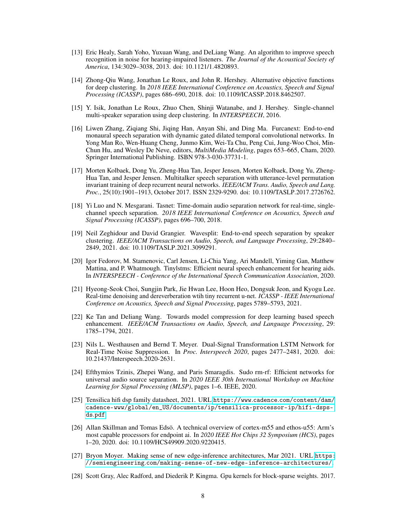- <span id="page-7-0"></span>[13] Eric Healy, Sarah Yoho, Yuxuan Wang, and DeLiang Wang. An algorithm to improve speech recognition in noise for hearing-impaired listeners. *The Journal of the Acoustical Society of America*, 134:3029–3038, 2013. doi: 10.1121/1.4820893.
- <span id="page-7-1"></span>[14] Zhong-Qiu Wang, Jonathan Le Roux, and John R. Hershey. Alternative objective functions for deep clustering. In *2018 IEEE International Conference on Acoustics, Speech and Signal Processing (ICASSP)*, pages 686–690, 2018. doi: 10.1109/ICASSP.2018.8462507.
- [15] Y. Isik, Jonathan Le Roux, Zhuo Chen, Shinji Watanabe, and J. Hershey. Single-channel multi-speaker separation using deep clustering. In *INTERSPEECH*, 2016.
- [16] Liwen Zhang, Ziqiang Shi, Jiqing Han, Anyan Shi, and Ding Ma. Furcanext: End-to-end monaural speech separation with dynamic gated dilated temporal convolutional networks. In Yong Man Ro, Wen-Huang Cheng, Junmo Kim, Wei-Ta Chu, Peng Cui, Jung-Woo Choi, Min-Chun Hu, and Wesley De Neve, editors, *MultiMedia Modeling*, pages 653–665, Cham, 2020. Springer International Publishing. ISBN 978-3-030-37731-1.
- [17] Morten Kolbaek, Dong Yu, Zheng-Hua Tan, Jesper Jensen, Morten Kolbaek, Dong Yu, Zheng-Hua Tan, and Jesper Jensen. Multitalker speech separation with utterance-level permutation invariant training of deep recurrent neural networks. *IEEE/ACM Trans. Audio, Speech and Lang. Proc.*, 25(10):1901–1913, October 2017. ISSN 2329-9290. doi: 10.1109/TASLP.2017.2726762.
- [18] Yi Luo and N. Mesgarani. Tasnet: Time-domain audio separation network for real-time, singlechannel speech separation. *2018 IEEE International Conference on Acoustics, Speech and Signal Processing (ICASSP)*, pages 696–700, 2018.
- <span id="page-7-2"></span>[19] Neil Zeghidour and David Grangier. Wavesplit: End-to-end speech separation by speaker clustering. *IEEE/ACM Transactions on Audio, Speech, and Language Processing*, 29:2840– 2849, 2021. doi: 10.1109/TASLP.2021.3099291.
- <span id="page-7-3"></span>[20] Igor Fedorov, M. Stamenovic, Carl Jensen, Li-Chia Yang, Ari Mandell, Yiming Gan, Matthew Mattina, and P. Whatmough. Tinylstms: Efficient neural speech enhancement for hearing aids. In *INTERSPEECH - Conference of the International Speech Communication Association*, 2020.
- <span id="page-7-4"></span>[21] Hyeong-Seok Choi, Sungjin Park, Jie Hwan Lee, Hoon Heo, Dongsuk Jeon, and Kyogu Lee. Real-time denoising and dereverberation wtih tiny recurrent u-net. *ICASSP - IEEE International Conference on Acoustics, Speech and Signal Processing*, pages 5789–5793, 2021.
- <span id="page-7-5"></span>[22] Ke Tan and Deliang Wang. Towards model compression for deep learning based speech enhancement. *IEEE/ACM Transactions on Audio, Speech, and Language Processing*, 29: 1785–1794, 2021.
- <span id="page-7-6"></span>[23] Nils L. Westhausen and Bernd T. Meyer. Dual-Signal Transformation LSTM Network for Real-Time Noise Suppression. In *Proc. Interspeech 2020*, pages 2477–2481, 2020. doi: 10.21437/Interspeech.2020-2631.
- <span id="page-7-7"></span>[24] Efthymios Tzinis, Zhepei Wang, and Paris Smaragdis. Sudo rm-rf: Efficient networks for universal audio source separation. In *2020 IEEE 30th International Workshop on Machine Learning for Signal Processing (MLSP)*, pages 1–6. IEEE, 2020.
- <span id="page-7-8"></span>[25] Tensilica hifi dsp family datasheet, 2021. URL https://www.cadence.[com/content/dam/](https://www.cadence.com/content/dam/cadence-www/global/en_US/documents/ip/tensilica-processor-ip/hifi-dsps-ds.pdf) [cadence-www/global/en\\_US/documents/ip/tensilica-processor-ip/hifi-dsps](https://www.cadence.com/content/dam/cadence-www/global/en_US/documents/ip/tensilica-processor-ip/hifi-dsps-ds.pdf)ds.[pdf](https://www.cadence.com/content/dam/cadence-www/global/en_US/documents/ip/tensilica-processor-ip/hifi-dsps-ds.pdf).
- [26] Allan Skillman and Tomas Edsö. A technical overview of cortex-m55 and ethos-u55: Arm's most capable processors for endpoint ai. In *2020 IEEE Hot Chips 32 Symposium (HCS)*, pages 1–20, 2020. doi: 10.1109/HCS49909.2020.9220415.
- <span id="page-7-9"></span>[27] Bryon Moyer. Making sense of new edge-inference architectures, Mar 2021. URL [https:](https://semiengineering.com/making-sense-of-new-edge-inference-architectures/) //semiengineering.[com/making-sense-of-new-edge-inference-architectures/](https://semiengineering.com/making-sense-of-new-edge-inference-architectures/).
- <span id="page-7-10"></span>[28] Scott Gray, Alec Radford, and Diederik P. Kingma. Gpu kernels for block-sparse weights. 2017.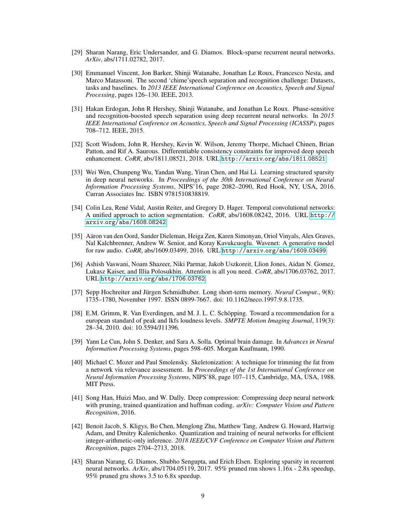- <span id="page-8-0"></span>[29] Sharan Narang, Eric Undersander, and G. Diamos. Block-sparse recurrent neural networks. *ArXiv*, abs/1711.02782, 2017.
- <span id="page-8-1"></span>[30] Emmanuel Vincent, Jon Barker, Shinji Watanabe, Jonathan Le Roux, Francesco Nesta, and Marco Matassoni. The second 'chime'speech separation and recognition challenge: Datasets, tasks and baselines. In *2013 IEEE International Conference on Acoustics, Speech and Signal Processing*, pages 126–130. IEEE, 2013.
- <span id="page-8-3"></span>[31] Hakan Erdogan, John R Hershey, Shinji Watanabe, and Jonathan Le Roux. Phase-sensitive and recognition-boosted speech separation using deep recurrent neural networks. In *2015 IEEE International Conference on Acoustics, Speech and Signal Processing (ICASSP)*, pages 708–712. IEEE, 2015.
- <span id="page-8-4"></span>[32] Scott Wisdom, John R. Hershey, Kevin W. Wilson, Jeremy Thorpe, Michael Chinen, Brian Patton, and Rif A. Saurous. Differentiable consistency constraints for improved deep speech enhancement. *CoRR*, abs/1811.08521, 2018. URL http://arxiv.[org/abs/1811](http://arxiv.org/abs/1811.08521).08521.
- <span id="page-8-2"></span>[33] Wei Wen, Chunpeng Wu, Yandan Wang, Yiran Chen, and Hai Li. Learning structured sparsity in deep neural networks. In *Proceedings of the 30th International Conference on Neural Information Processing Systems*, NIPS'16, page 2082–2090, Red Hook, NY, USA, 2016. Curran Associates Inc. ISBN 9781510838819.
- <span id="page-8-5"></span>[34] Colin Lea, René Vidal, Austin Reiter, and Gregory D. Hager. Temporal convolutional networks: A unified approach to action segmentation. *CoRR*, abs/1608.08242, 2016. URL [http://](http://arxiv.org/abs/1608.08242) arxiv.[org/abs/1608](http://arxiv.org/abs/1608.08242).08242.
- <span id="page-8-6"></span>[35] Aäron van den Oord, Sander Dieleman, Heiga Zen, Karen Simonyan, Oriol Vinyals, Alex Graves, Nal Kalchbrenner, Andrew W. Senior, and Koray Kavukcuoglu. Wavenet: A generative model for raw audio. *CoRR*, abs/1609.03499, 2016. URL [http://arxiv](http://arxiv.org/abs/1609.03499).org/abs/1609.03499.
- <span id="page-8-7"></span>[36] Ashish Vaswani, Noam Shazeer, Niki Parmar, Jakob Uszkoreit, Llion Jones, Aidan N. Gomez, Lukasz Kaiser, and Illia Polosukhin. Attention is all you need. *CoRR*, abs/1706.03762, 2017. URL [http://arxiv](http://arxiv.org/abs/1706.03762).org/abs/1706.03762.
- <span id="page-8-8"></span>[37] Sepp Hochreiter and Jürgen Schmidhuber. Long short-term memory. *Neural Comput.*, 9(8): 1735–1780, November 1997. ISSN 0899-7667. doi: 10.1162/neco.1997.9.8.1735.
- <span id="page-8-9"></span>[38] E.M. Grimm, R. Van Everdingen, and M. J. L. C. Schöpping. Toward a recommendation for a european standard of peak and lkfs loudness levels. *SMPTE Motion Imaging Journal*, 119(3): 28–34, 2010. doi: 10.5594/J11396.
- <span id="page-8-10"></span>[39] Yann Le Cun, John S. Denker, and Sara A. Solla. Optimal brain damage. In *Advances in Neural Information Processing Systems*, pages 598–605. Morgan Kaufmann, 1990.
- [40] Michael C. Mozer and Paul Smolensky. Skeletonization: A technique for trimming the fat from a network via relevance assessment. In *Proceedings of the 1st International Conference on Neural Information Processing Systems*, NIPS'88, page 107–115, Cambridge, MA, USA, 1988. MIT Press.
- <span id="page-8-11"></span>[41] Song Han, Huizi Mao, and W. Dally. Deep compression: Compressing deep neural network with pruning, trained quantization and huffman coding. *arXiv: Computer Vision and Pattern Recognition*, 2016.
- <span id="page-8-12"></span>[42] Benoit Jacob, S. Kligys, Bo Chen, Menglong Zhu, Matthew Tang, Andrew G. Howard, Hartwig Adam, and Dmitry Kalenichenko. Quantization and training of neural networks for efficient integer-arithmetic-only inference. *2018 IEEE/CVF Conference on Computer Vision and Pattern Recognition*, pages 2704–2713, 2018.
- <span id="page-8-13"></span>[43] Sharan Narang, G. Diamos, Shubho Sengupta, and Erich Elsen. Exploring sparsity in recurrent neural networks. *ArXiv*, abs/1704.05119, 2017. 95% pruned rnn shows 1.16x - 2.8x speedup, 95% pruned gru shows 3.5 to 6.8x speedup.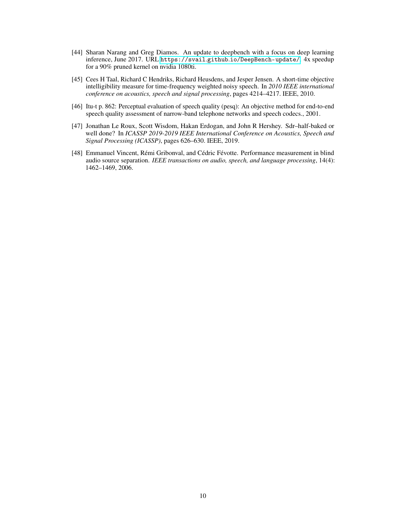- <span id="page-9-0"></span>[44] Sharan Narang and Greg Diamos. An update to deepbench with a focus on deep learning inference, June 2017. URL https://svail.github.[io/DeepBench-update/](https://svail.github.io/DeepBench-update/). 4x speedup for a 90% pruned kernel on nvidia 1080ti.
- <span id="page-9-1"></span>[45] Cees H Taal, Richard C Hendriks, Richard Heusdens, and Jesper Jensen. A short-time objective intelligibility measure for time-frequency weighted noisy speech. In *2010 IEEE international conference on acoustics, speech and signal processing*, pages 4214–4217. IEEE, 2010.
- <span id="page-9-2"></span>[46] Itu-t p. 862: Perceptual evaluation of speech quality (pesq): An objective method for end-to-end speech quality assessment of narrow-band telephone networks and speech codecs., 2001.
- <span id="page-9-3"></span>[47] Jonathan Le Roux, Scott Wisdom, Hakan Erdogan, and John R Hershey. Sdr–half-baked or well done? In *ICASSP 2019-2019 IEEE International Conference on Acoustics, Speech and Signal Processing (ICASSP)*, pages 626–630. IEEE, 2019.
- <span id="page-9-4"></span>[48] Emmanuel Vincent, Rémi Gribonval, and Cédric Févotte. Performance measurement in blind audio source separation. *IEEE transactions on audio, speech, and language processing*, 14(4): 1462–1469, 2006.